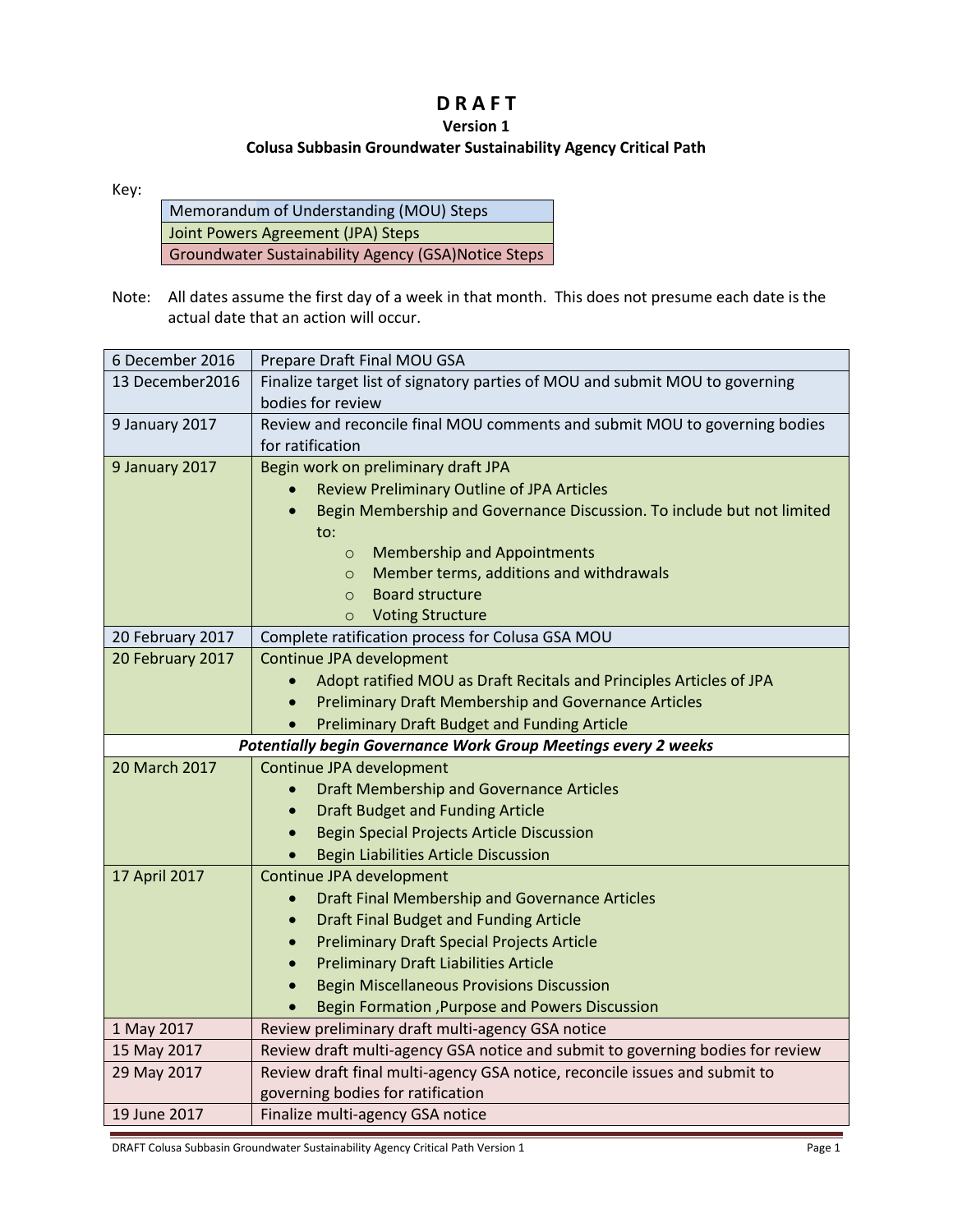## **D R A F T**

## **Version 1**

## **Colusa Subbasin Groundwater Sustainability Agency Critical Path**

Key:

| Memorandum of Understanding (MOU) Steps                    |
|------------------------------------------------------------|
| Joint Powers Agreement (JPA) Steps                         |
| <b>Groundwater Sustainability Agency (GSA)Notice Steps</b> |

Note: All dates assume the first day of a week in that month. This does not presume each date is the actual date that an action will occur.

| 6 December 2016  | Prepare Draft Final MOU GSA                                                                       |
|------------------|---------------------------------------------------------------------------------------------------|
| 13 December2016  | Finalize target list of signatory parties of MOU and submit MOU to governing<br>bodies for review |
| 9 January 2017   | Review and reconcile final MOU comments and submit MOU to governing bodies<br>for ratification    |
| 9 January 2017   | Begin work on preliminary draft JPA                                                               |
|                  | <b>Review Preliminary Outline of JPA Articles</b>                                                 |
|                  | Begin Membership and Governance Discussion. To include but not limited<br>$\bullet$<br>to:        |
|                  | <b>Membership and Appointments</b><br>$\circ$                                                     |
|                  | Member terms, additions and withdrawals<br>$\circ$                                                |
|                  | <b>Board structure</b><br>$\circ$                                                                 |
|                  | <b>Voting Structure</b><br>$\circ$                                                                |
| 20 February 2017 | Complete ratification process for Colusa GSA MOU                                                  |
| 20 February 2017 | Continue JPA development                                                                          |
|                  | Adopt ratified MOU as Draft Recitals and Principles Articles of JPA                               |
|                  | <b>Preliminary Draft Membership and Governance Articles</b>                                       |
|                  | <b>Preliminary Draft Budget and Funding Article</b>                                               |
|                  |                                                                                                   |
|                  | Potentially begin Governance Work Group Meetings every 2 weeks                                    |
| 20 March 2017    | Continue JPA development                                                                          |
|                  | <b>Draft Membership and Governance Articles</b>                                                   |
|                  | <b>Draft Budget and Funding Article</b><br>$\bullet$                                              |
|                  | <b>Begin Special Projects Article Discussion</b><br>$\bullet$                                     |
|                  | <b>Begin Liabilities Article Discussion</b><br>$\bullet$                                          |
| 17 April 2017    | Continue JPA development                                                                          |
|                  | Draft Final Membership and Governance Articles                                                    |
|                  | <b>Draft Final Budget and Funding Article</b><br>$\bullet$                                        |
|                  | <b>Preliminary Draft Special Projects Article</b><br>$\bullet$                                    |
|                  | <b>Preliminary Draft Liabilities Article</b><br>$\bullet$                                         |
|                  | <b>Begin Miscellaneous Provisions Discussion</b>                                                  |
|                  | Begin Formation , Purpose and Powers Discussion                                                   |
| 1 May 2017       | Review preliminary draft multi-agency GSA notice                                                  |
| 15 May 2017      | Review draft multi-agency GSA notice and submit to governing bodies for review                    |
| 29 May 2017      | Review draft final multi-agency GSA notice, reconcile issues and submit to                        |
| 19 June 2017     | governing bodies for ratification<br>Finalize multi-agency GSA notice                             |

DRAFT Colusa Subbasin Groundwater Sustainability Agency Critical Path Version 1 Page 1